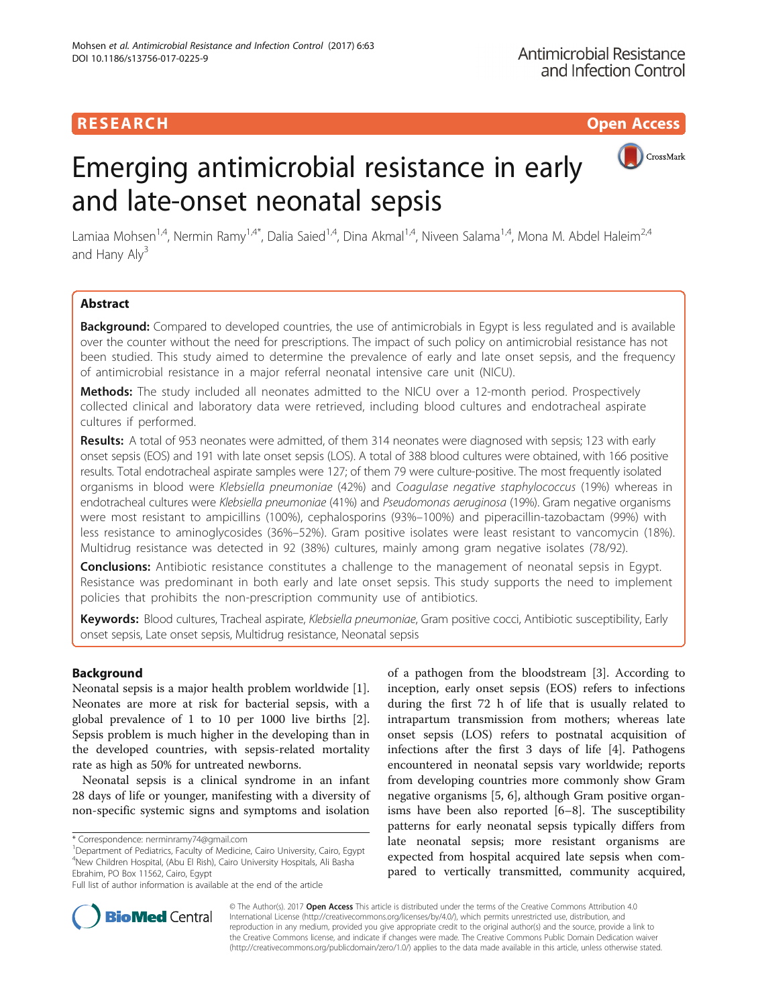# **RESEARCH CHINESE ARCH CHINESE ARCH CHINESE ARCH**



# Emerging antimicrobial resistance in early and late-onset neonatal sepsis

Lamiaa Mohsen<sup>1,4</sup>, Nermin Ramy<sup>1,4\*</sup>, Dalia Saied<sup>1,4</sup>, Dina Akmal<sup>1,4</sup>, Niveen Salama<sup>1,4</sup>, Mona M. Abdel Haleim<sup>2,4</sup> and Hany  $\text{Aly}^3$ 

# Abstract

Background: Compared to developed countries, the use of antimicrobials in Egypt is less regulated and is available over the counter without the need for prescriptions. The impact of such policy on antimicrobial resistance has not been studied. This study aimed to determine the prevalence of early and late onset sepsis, and the frequency of antimicrobial resistance in a major referral neonatal intensive care unit (NICU).

Methods: The study included all neonates admitted to the NICU over a 12-month period. Prospectively collected clinical and laboratory data were retrieved, including blood cultures and endotracheal aspirate cultures if performed.

Results: A total of 953 neonates were admitted, of them 314 neonates were diagnosed with sepsis; 123 with early onset sepsis (EOS) and 191 with late onset sepsis (LOS). A total of 388 blood cultures were obtained, with 166 positive results. Total endotracheal aspirate samples were 127; of them 79 were culture-positive. The most frequently isolated organisms in blood were Klebsiella pneumoniae (42%) and Coagulase negative staphylococcus (19%) whereas in endotracheal cultures were Klebsiella pneumoniae (41%) and Pseudomonas aeruginosa (19%). Gram negative organisms were most resistant to ampicillins (100%), cephalosporins (93%–100%) and piperacillin-tazobactam (99%) with less resistance to aminoglycosides (36%–52%). Gram positive isolates were least resistant to vancomycin (18%). Multidrug resistance was detected in 92 (38%) cultures, mainly among gram negative isolates (78/92).

**Conclusions:** Antibiotic resistance constitutes a challenge to the management of neonatal sepsis in Egypt. Resistance was predominant in both early and late onset sepsis. This study supports the need to implement policies that prohibits the non-prescription community use of antibiotics.

Keywords: Blood cultures, Tracheal aspirate, Klebsiella pneumoniae, Gram positive cocci, Antibiotic susceptibility, Early onset sepsis, Late onset sepsis, Multidrug resistance, Neonatal sepsis

## Background

Neonatal sepsis is a major health problem worldwide [\[1](#page-7-0)]. Neonates are more at risk for bacterial sepsis, with a global prevalence of 1 to 10 per 1000 live births [\[2](#page-7-0)]. Sepsis problem is much higher in the developing than in the developed countries, with sepsis-related mortality rate as high as 50% for untreated newborns.

Neonatal sepsis is a clinical syndrome in an infant 28 days of life or younger, manifesting with a diversity of non-specific systemic signs and symptoms and isolation

<sup>1</sup>Department of Pediatrics, Faculty of Medicine, Cairo University, Cairo, Egypt 4 New Children Hospital, (Abu El Rish), Cairo University Hospitals, Ali Basha Ebrahim, PO Box 11562, Cairo, Egypt

of a pathogen from the bloodstream [[3\]](#page-7-0). According to inception, early onset sepsis (EOS) refers to infections during the first 72 h of life that is usually related to intrapartum transmission from mothers; whereas late onset sepsis (LOS) refers to postnatal acquisition of infections after the first 3 days of life [\[4](#page-7-0)]. Pathogens encountered in neonatal sepsis vary worldwide; reports from developing countries more commonly show Gram negative organisms [[5, 6\]](#page-7-0), although Gram positive organisms have been also reported [[6](#page-7-0)–[8\]](#page-7-0). The susceptibility patterns for early neonatal sepsis typically differs from late neonatal sepsis; more resistant organisms are expected from hospital acquired late sepsis when compared to vertically transmitted, community acquired,



© The Author(s). 2017 **Open Access** This article is distributed under the terms of the Creative Commons Attribution 4.0 International License [\(http://creativecommons.org/licenses/by/4.0/](http://creativecommons.org/licenses/by/4.0/)), which permits unrestricted use, distribution, and reproduction in any medium, provided you give appropriate credit to the original author(s) and the source, provide a link to the Creative Commons license, and indicate if changes were made. The Creative Commons Public Domain Dedication waiver [\(http://creativecommons.org/publicdomain/zero/1.0/](http://creativecommons.org/publicdomain/zero/1.0/)) applies to the data made available in this article, unless otherwise stated.

<sup>\*</sup> Correspondence: [nerminramy74@gmail.com](mailto:nerminramy74@gmail.com) <sup>1</sup>

Full list of author information is available at the end of the article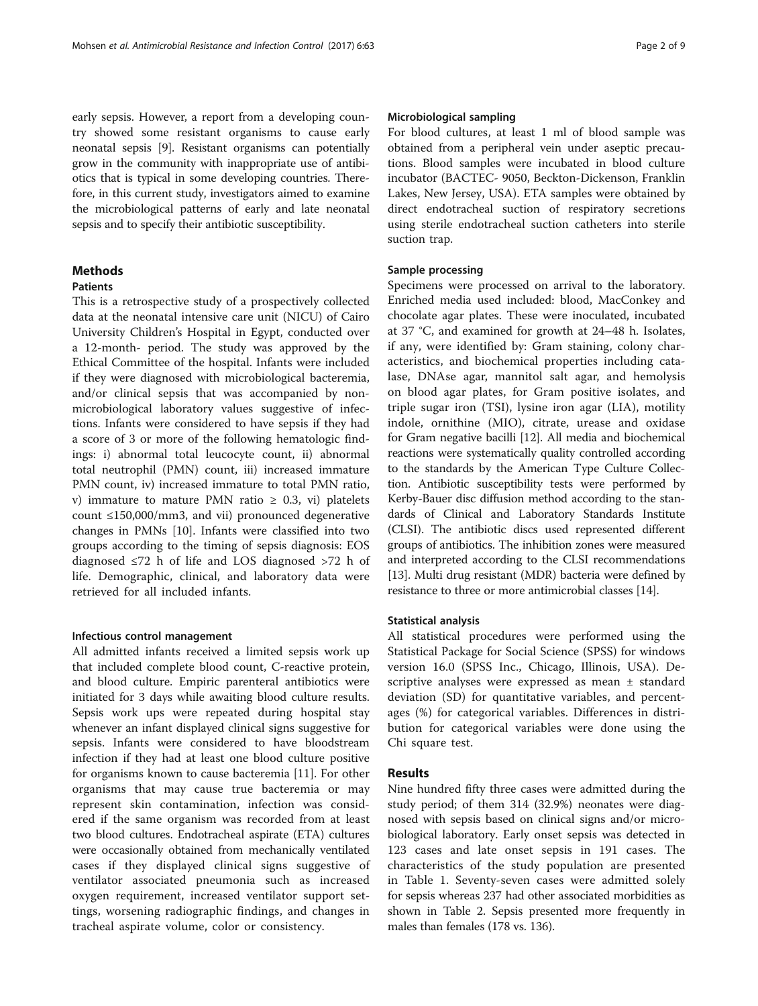early sepsis. However, a report from a developing country showed some resistant organisms to cause early neonatal sepsis [\[9](#page-7-0)]. Resistant organisms can potentially grow in the community with inappropriate use of antibiotics that is typical in some developing countries. Therefore, in this current study, investigators aimed to examine the microbiological patterns of early and late neonatal sepsis and to specify their antibiotic susceptibility.

### Methods

#### Patients

This is a retrospective study of a prospectively collected data at the neonatal intensive care unit (NICU) of Cairo University Children's Hospital in Egypt, conducted over a 12-month- period. The study was approved by the Ethical Committee of the hospital. Infants were included if they were diagnosed with microbiological bacteremia, and/or clinical sepsis that was accompanied by nonmicrobiological laboratory values suggestive of infections. Infants were considered to have sepsis if they had a score of 3 or more of the following hematologic findings: i) abnormal total leucocyte count, ii) abnormal total neutrophil (PMN) count, iii) increased immature PMN count, iv) increased immature to total PMN ratio, v) immature to mature PMN ratio  $\geq$  0.3, vi) platelets count ≤150,000/mm3, and vii) pronounced degenerative changes in PMNs [[10](#page-7-0)]. Infants were classified into two groups according to the timing of sepsis diagnosis: EOS diagnosed ≤72 h of life and LOS diagnosed >72 h of life. Demographic, clinical, and laboratory data were retrieved for all included infants.

#### Infectious control management

All admitted infants received a limited sepsis work up that included complete blood count, C-reactive protein, and blood culture. Empiric parenteral antibiotics were initiated for 3 days while awaiting blood culture results. Sepsis work ups were repeated during hospital stay whenever an infant displayed clinical signs suggestive for sepsis. Infants were considered to have bloodstream infection if they had at least one blood culture positive for organisms known to cause bacteremia [[11\]](#page-7-0). For other organisms that may cause true bacteremia or may represent skin contamination, infection was considered if the same organism was recorded from at least two blood cultures. Endotracheal aspirate (ETA) cultures were occasionally obtained from mechanically ventilated cases if they displayed clinical signs suggestive of ventilator associated pneumonia such as increased oxygen requirement, increased ventilator support settings, worsening radiographic findings, and changes in tracheal aspirate volume, color or consistency.

#### Microbiological sampling

For blood cultures, at least 1 ml of blood sample was obtained from a peripheral vein under aseptic precautions. Blood samples were incubated in blood culture incubator (BACTEC- 9050, Beckton-Dickenson, Franklin Lakes, New Jersey, USA). ETA samples were obtained by direct endotracheal suction of respiratory secretions using sterile endotracheal suction catheters into sterile suction trap.

#### Sample processing

Specimens were processed on arrival to the laboratory. Enriched media used included: blood, MacConkey and chocolate agar plates. These were inoculated, incubated at 37 °C, and examined for growth at 24–48 h. Isolates, if any, were identified by: Gram staining, colony characteristics, and biochemical properties including catalase, DNAse agar, mannitol salt agar, and hemolysis on blood agar plates, for Gram positive isolates, and triple sugar iron (TSI), lysine iron agar (LIA), motility indole, ornithine (MIO), citrate, urease and oxidase for Gram negative bacilli [[12](#page-7-0)]. All media and biochemical reactions were systematically quality controlled according to the standards by the American Type Culture Collection. Antibiotic susceptibility tests were performed by Kerby-Bauer disc diffusion method according to the standards of Clinical and Laboratory Standards Institute (CLSI). The antibiotic discs used represented different groups of antibiotics. The inhibition zones were measured and interpreted according to the CLSI recommendations [[13](#page-7-0)]. Multi drug resistant (MDR) bacteria were defined by resistance to three or more antimicrobial classes [\[14\]](#page-7-0).

#### Statistical analysis

All statistical procedures were performed using the Statistical Package for Social Science (SPSS) for windows version 16.0 (SPSS Inc., Chicago, Illinois, USA). Descriptive analyses were expressed as mean ± standard deviation (SD) for quantitative variables, and percentages (%) for categorical variables. Differences in distribution for categorical variables were done using the Chi square test.

#### Results

Nine hundred fifty three cases were admitted during the study period; of them 314 (32.9%) neonates were diagnosed with sepsis based on clinical signs and/or microbiological laboratory. Early onset sepsis was detected in 123 cases and late onset sepsis in 191 cases. The characteristics of the study population are presented in Table [1.](#page-2-0) Seventy-seven cases were admitted solely for sepsis whereas 237 had other associated morbidities as shown in Table [2.](#page-2-0) Sepsis presented more frequently in males than females (178 vs. 136).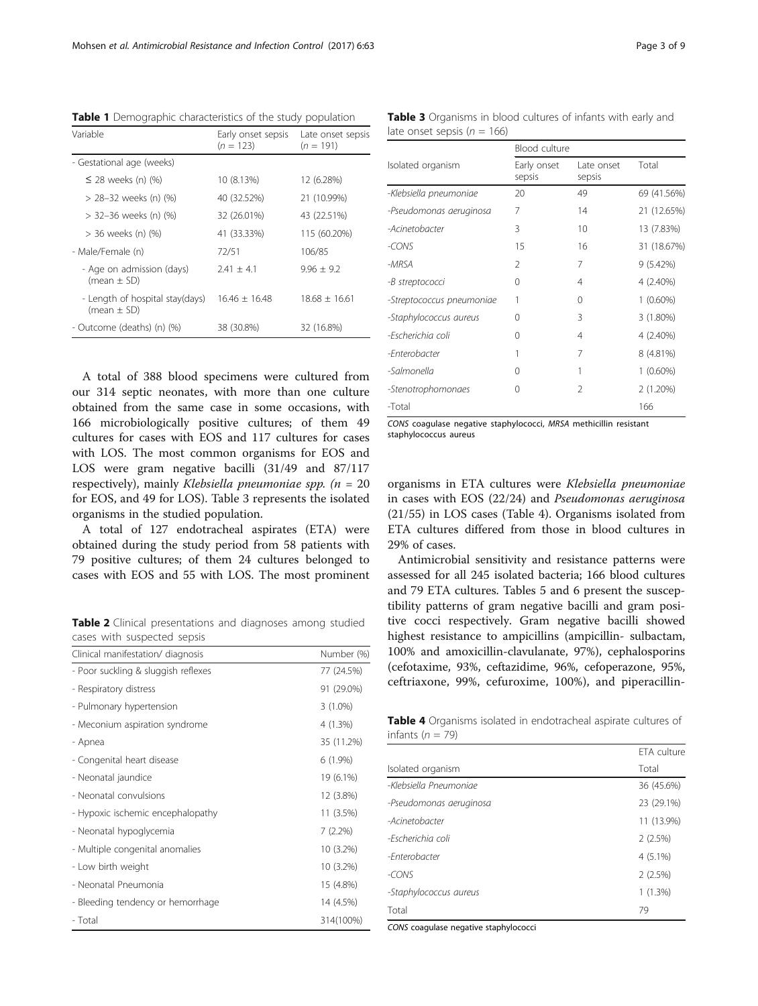| Variable                                           | Early onset sepsis<br>$(n = 123)$ | Late onset sepsis<br>$(n = 191)$ |
|----------------------------------------------------|-----------------------------------|----------------------------------|
| - Gestational age (weeks)                          |                                   |                                  |
| $\leq$ 28 weeks (n) (%)                            | 10 (8.13%)                        | 12 (6.28%)                       |
| > 28–32 weeks (n) (%)                              | 40 (32.52%)                       | 21 (10.99%)                      |
| > 32–36 weeks (n) (%)                              | 32 (26.01%)                       | 43 (22.51%)                      |
| > 36 weeks (n) (%)                                 | 41 (33.33%)                       | 115 (60.20%)                     |
| - Male/Female (n)                                  | 72/51                             | 106/85                           |
| - Age on admission (days)<br>(mean $\pm$ SD)       | $7.41 + 4.1$                      | $9.96 + 9.2$                     |
| - Length of hospital stay(days)<br>(mean $\pm$ SD) | $16.46 + 16.48$                   | $18.68 + 16.61$                  |
| - Outcome (deaths) (n) (%)                         | 38 (30.8%)                        | 32 (16.8%)                       |

<span id="page-2-0"></span>Table 1 Demographic characteristics of the study population

A total of 388 blood specimens were cultured from our 314 septic neonates, with more than one culture obtained from the same case in some occasions, with 166 microbiologically positive cultures; of them 49 cultures for cases with EOS and 117 cultures for cases with LOS. The most common organisms for EOS and LOS were gram negative bacilli (31/49 and 87/117 respectively), mainly Klebsiella pneumoniae spp.  $(n = 20)$ for EOS, and 49 for LOS). Table 3 represents the isolated organisms in the studied population.

A total of 127 endotracheal aspirates (ETA) were obtained during the study period from 58 patients with 79 positive cultures; of them 24 cultures belonged to cases with EOS and 55 with LOS. The most prominent

Table 2 Clinical presentations and diagnoses among studied cases with suspected sepsis

| Clinical manifestation/ diagnosis   | Number (%) |
|-------------------------------------|------------|
| - Poor suckling & sluggish reflexes | 77 (24.5%) |
| - Respiratory distress              | 91 (29.0%) |
| - Pulmonary hypertension            | $3(1.0\%)$ |
| - Meconium aspiration syndrome      | 4 (1.3%)   |
| - Apnea                             | 35 (11.2%) |
| - Congenital heart disease          | $6(1.9\%)$ |
| - Neonatal jaundice                 | 19 (6.1%)  |
| - Neonatal convulsions              | 12 (3.8%)  |
| - Hypoxic ischemic encephalopathy   | 11 (3.5%)  |
| - Neonatal hypoglycemia             | 7(2.2%)    |
| - Multiple congenital anomalies     | 10 (3.2%)  |
| - Low birth weight                  | 10 (3.2%)  |
| - Neonatal Pneumonia                | 15 (4.8%)  |
| - Bleeding tendency or hemorrhage   | 14 (4.5%)  |
| - Total                             | 314(100%)  |

Table 3 Organisms in blood cultures of infants with early and late onset sepsis ( $n = 166$ )

|                           | Blood culture         |                      |             |
|---------------------------|-----------------------|----------------------|-------------|
| Isolated organism         | Early onset<br>sepsis | Late onset<br>sepsis | Total       |
| -Klebsiella pneumoniae    | 20                    | 49                   | 69 (41.56%) |
| -Pseudomonas aeruginosa   | 7                     | 14                   | 21 (12.65%) |
| -Acinetobacter            | 3                     | 10                   | 13 (7.83%)  |
| -CONS                     | 15                    | 16                   | 31 (18.67%) |
| -MRSA                     | $\mathfrak{D}$        | 7                    | 9 (5.42%)   |
| -B streptococci           | 0                     | 4                    | 4 (2.40%)   |
| -Streptococcus pneumoniae | 1                     | $\Omega$             | $1(0.60\%)$ |
| -Staphylococcus aureus    | 0                     | 3                    | $3(1.80\%)$ |
| -Escherichia coli         | 0                     | 4                    | 4 (2.40%)   |
| -Enterobacter             |                       | 7                    | 8 (4.81%)   |
| -Salmonella               | 0                     | 1                    | $1(0.60\%)$ |
| -Stenotrophomonaes        | 0                     | $\mathfrak{D}$       | 2 (1.20%)   |
| -Total                    |                       |                      | 166         |

CONS coagulase negative staphylococci, MRSA methicillin resistant staphylococcus aureus

organisms in ETA cultures were Klebsiella pneumoniae in cases with EOS (22/24) and Pseudomonas aeruginosa (21/55) in LOS cases (Table 4). Organisms isolated from ETA cultures differed from those in blood cultures in 29% of cases.

Antimicrobial sensitivity and resistance patterns were assessed for all 245 isolated bacteria; 166 blood cultures and 79 ETA cultures. Tables [5](#page-3-0) and [6](#page-4-0) present the susceptibility patterns of gram negative bacilli and gram positive cocci respectively. Gram negative bacilli showed highest resistance to ampicillins (ampicillin- sulbactam, 100% and amoxicillin-clavulanate, 97%), cephalosporins (cefotaxime, 93%, ceftazidime, 96%, cefoperazone, 95%, ceftriaxone, 99%, cefuroxime, 100%), and piperacillin-

Table 4 Organisms isolated in endotracheal aspirate cultures of infants ( $n = 79$ )

|                         | ETA culture |
|-------------------------|-------------|
| Isolated organism       | Total       |
| -Klebsiella Pneumoniae  | 36 (45.6%)  |
| -Pseudomonas aeruginosa | 23 (29.1%)  |
| -Acinetobacter          | 11 (13.9%)  |
| -Escherichia coli       | 2(2.5%)     |
| -Fnterobacter           | $4(5.1\%)$  |
| $-CONS$                 | 2(2.5%)     |
| -Staphylococcus aureus  | 1(1.3%)     |
| Total                   | 79          |

CONS coagulase negative staphylococci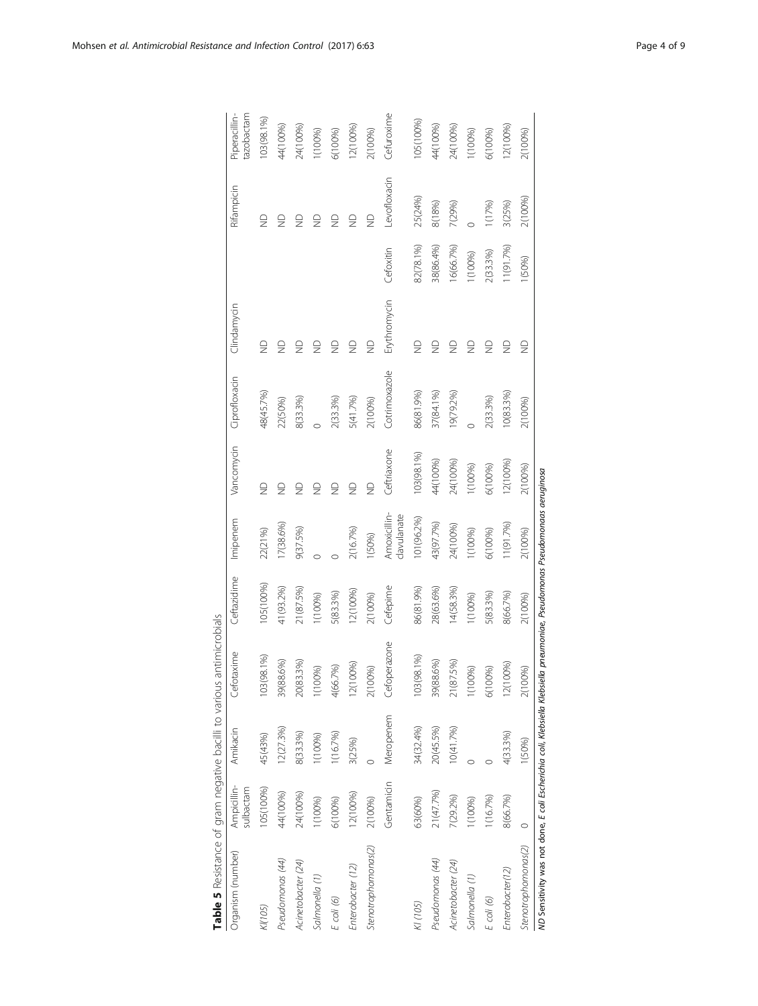<span id="page-3-0"></span>

| Table 5 Resistance of gram negative bacilli to various antimicrobials                                                       |                          |           |                 |             |                             |                    |               |                                           |           |                                           |                             |
|-----------------------------------------------------------------------------------------------------------------------------|--------------------------|-----------|-----------------|-------------|-----------------------------|--------------------|---------------|-------------------------------------------|-----------|-------------------------------------------|-----------------------------|
| Organism (number)                                                                                                           | Ampicillin-<br>sulbactam | Amikacin  | Cefotaxime      | Ceftazidime | Imipenem                    | Vancomycin         | Ciprofloxacin | Clindamycin                               |           | Rifampicin                                | Piperacillin-<br>tazobactam |
| K(105)                                                                                                                      | 105(100%)                | 45(43%)   | 103 (98.1%)     | 05(100%)    | 22(21%)                     | $\frac{1}{2}$      | 48(45.7%)     | $\frac{\circ}{\mathbb{Z}}$                |           | $\frac{\circ}{\mathbb{Z}}$                | 103(98.1%)                  |
| Pseudomonas (44)                                                                                                            | 44(100%)                 | 12(27.3%) | .6%)<br>39(88.  | 41(93.2%)   | 17(38.6%)                   | $\supseteq$        | 22(50%)       | g                                         |           | g                                         | 44(100%)                    |
| Acinetobacter (24)                                                                                                          | 24(100%)                 | 8(33.3%)  | 1.3%)<br>20(83. | 21(87.5%)   | 9(37.5%)                    | $\frac{1}{2}$      | 8(33.3%)      | $\frac{\textcircled{\}}{\textcircled{\}}$ |           |                                           | 24(100%)                    |
| Salmonella (1)                                                                                                              | 1(100%)                  | 1(100%)   | 1(100%)         | 1(100%)     |                             | $\frac{1}{2}$      |               | $\frac{\textcircled{\}}{\textcircled{\}}$ |           | ₽                                         | 1(100%)                     |
| $E$ coli (6)                                                                                                                | 6(100%)                  | 1(16.7%)  | 4(66.7%)        | 5(83.3%)    |                             | $\frac{\Omega}{Z}$ | 2(33.3%)      | $\frac{\textcircled{\}}{\textcircled{\}}$ |           | $\frac{\textcircled{\}}{\textcircled{\}}$ | 6(100%)                     |
| Enterobacter (12)                                                                                                           | 12(100%)                 | 3(25%)    | 12(100%)        | 12(100%)    | 2(16.7%)                    | $\supseteq$        | 5(41.7%)      | $\frac{\textcircled{\}}{\textcircled{\}}$ |           | $\frac{\Omega}{Z}$                        | 12(100%)                    |
| Stenotrophomonas(2)                                                                                                         | 2(100%)                  |           | 2(100%)         | 2(100%)     | 1(50%)                      | $\supseteq$        | 2(100%)       | $\frac{\circ}{\circ}$                     |           | $\frac{\Omega}{Z}$                        | 2(100%)                     |
|                                                                                                                             | Gentamicin               | Meropenem | Cefoperazone    | Cefepime    | Amoxicillin-<br>clavulanate | Ceftriaxone        | Cotrimoxazole | Erythromycin                              | Cefoxitin | Levofloxacin                              | Cefuroxime                  |
| KI (105)                                                                                                                    | 63(60%)                  | 34(32.4%) | 103(98.1%)      | 86(81.9%)   | 101(96.2%)                  | 103(98.1%)         | 86(81.9%)     | $\frac{\Omega}{Z}$                        | 82(78.1%) | 25(24%)                                   | 105(100%)                   |
| Pseudomonas (44)                                                                                                            | 21(47.7%)                | 20(45.5%) | .6%)<br>39(88.  | 28(63.6%)   | 43(97.7%)                   | 44(100%)           | 37(84.1%)     | $\frac{\Omega}{Z}$                        | 38(86.4%) | 8(18%)                                    | 44(100%)                    |
| Acinetobacter (24)                                                                                                          | 7(29.2%)                 | 10(41.7%) | 5%)<br>21(87.   | 14(58.3%)   | 24(100%)                    | 24(100%)           | 19(79.2%)     | $\frac{\textcircled{\}}{\textcircled{\}}$ | 6(66.7%)  | 7(29%)                                    | 24(100%)                    |
| Salmonella (1)                                                                                                              | 1(100%)                  |           | 1(100%)         | 1(100%)     | 1(100%)                     | 1(100%)            |               | $\frac{\circ}{\mathbb{Z}}$                | 1(100%)   |                                           | 1(100%)                     |
| $E$ coli $(6)$                                                                                                              | 1(16.7%)                 |           | 6(100%)         | 5(83.3%)    | 6(100%)                     | 6(100%)            | 2(33.3%)      | $\frac{0}{2}$                             | 2(33.3%)  | 1(17%)                                    | 6(100%)                     |
| Enterobacter(12)                                                                                                            | 8(66.7%)                 | 4(33.3%)  | 12(100%)        | 8(66.7%)    | 1(91.7%)                    | 12(100%)           | 10(83.3%)     | $\frac{\Omega}{Z}$                        | 11(91.7%) | 3(25%)                                    | 12(100%)                    |
| Stenotrophomonas(2)                                                                                                         | $\circ$                  | 1(50%)    | 2(100%)         | 2(100%)     | 2(100%)                     | 2(100%)            | 2(100%)       | $\frac{\circ}{\circ}$                     | 1(50%)    | 2(100%)                                   | 2(100%)                     |
| ND Sensitivity was not done, E coli Escherichia coli, Klebsiella Klebsiella pneumoniae, Pseudomonas Pseudomonaas aeruginosa |                          |           |                 |             |                             |                    |               |                                           |           |                                           |                             |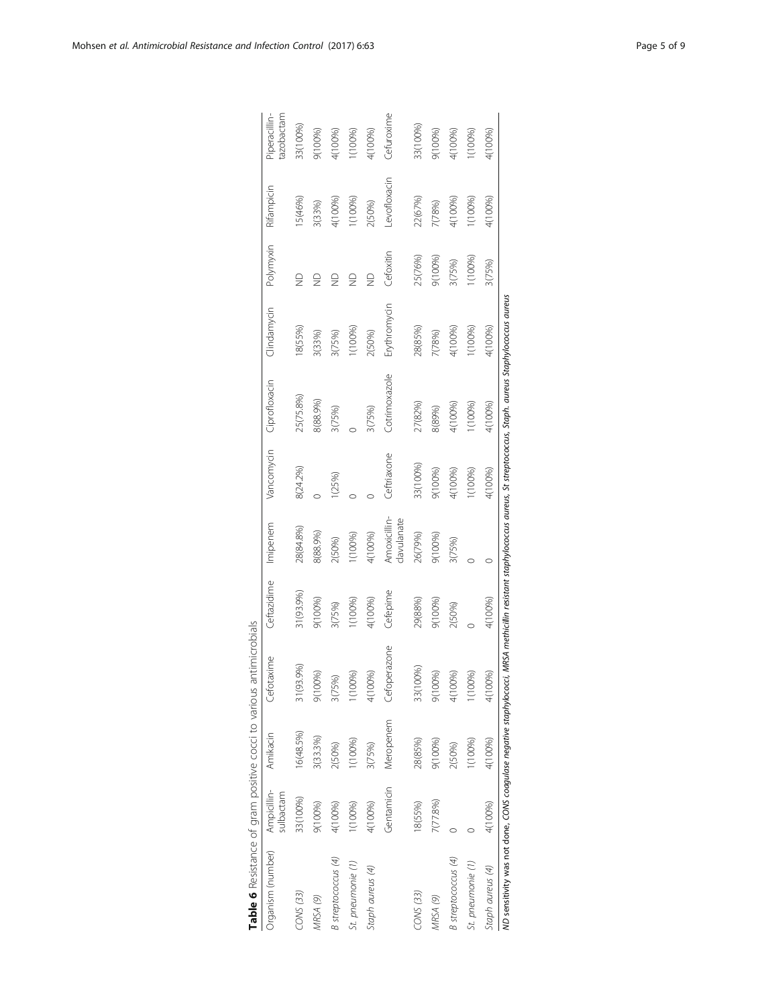<span id="page-4-0"></span>

| Table 6 Resistance of gram positive cocci to various antimicrobials |                          |           |              |             |                             |             |                                                                                                         |              |               |             |                            |
|---------------------------------------------------------------------|--------------------------|-----------|--------------|-------------|-----------------------------|-------------|---------------------------------------------------------------------------------------------------------|--------------|---------------|-------------|----------------------------|
| Organism (number)                                                   | Ampicillin-<br>sulbactam | Amikacin  | Cefotaxime   | Ceftazidime | Imipenem                    | Vancomycin  | Ciprofloxacin                                                                                           | Clindamycin  | Polymyxin     | Rifampicin  | azobactam<br>Piperacillin- |
| CONS (33)                                                           | 33(100%)                 | 16(48.5%) | 31(93.9%)    | 31(93.9%)   | 28(84.8%)                   | 8(24.2%)    | 25(75.8%)                                                                                               | 18(55%)      | $\frac{1}{2}$ | 15(46%)     | 33(100%)                   |
| MRSA (9)                                                            | 9(100%)                  | 3(33.3%)  | 9(100%)      | 9(100%)     | 8(88.9%)                    |             | 8(88.9%)                                                                                                | 3(33%)       |               | 3(33%)      | 9(100%)                    |
| B streptococcus (4)                                                 | 4(100%)                  | 2(50%)    | 3(75%)       | 3(75%)      | 2(50%)                      | 1(25%)      | 3(75%)                                                                                                  | 3(75%)       |               | 4(100%)     | 4(100%)                    |
| St. pneumonie (1)                                                   | 1(100%)                  | (100%)    | 1(100%)      | (100%)      | (100%)                      |             |                                                                                                         | (100%)       |               | (100%       | (100%)                     |
| Staph aureus (4)                                                    | 4(100%)                  | 3(75%)    | 4(100%)      | 4(100%)     | 4(100%)                     |             | 3(75%)                                                                                                  | 2(50%)       |               | 2(50%)      | 4(100%)                    |
|                                                                     | Gentamicin               | Meropenem | Cefoperazone | Cefepime    | Amoxicillin-<br>clavulanate | Ceftriaxone | Cotrimoxazole                                                                                           | Erythromycin | Cefoxitin     | evofloxacin | Cefuroxime                 |
| CONS (33)                                                           | 18(55%)                  | 28(85%)   | 33(100%)     | 29(88%)     | 26(79%)                     | 33(100%)    | 27(82%)                                                                                                 | 28(85%)      | 25(76%)       | 22(67%)     | 33(100%)                   |
| MRSA (9)                                                            | 7(77.8%)                 | 9(100%)   | 9(100%)      | 9(100%)     | 9(100%)                     | 9(100%)     | 8(89%)                                                                                                  | 7(78%)       | 9(100%)       | 7(78%)      | 9(100%)                    |
| <b>B</b> streptococcus (4)                                          |                          | 2(50%)    | 4(100%)      | 2(50%)      | 3(75%)                      | 4(100%)     | 4(100%)                                                                                                 | 4(100%)      | 3(75%)        | 4(100%)     | 4(100%)                    |
| St. pneumonie (1)                                                   |                          | (100%)    | 1(100%)      |             |                             | (100%)      | 1(100%)                                                                                                 | 1(100%)      | (100%)        | 1(100%)     | 1(100%)                    |
| Staph aureus (4)                                                    | 4(100%)                  | 4(100%)   | 4(100%)      | 4(100%)     |                             | 4(100%)     | 4(100%)                                                                                                 | 4(100%)      | 3(75%)        | 4(100%)     | 4(100%)                    |
| ND sensitivity was not done, CONS coagulase negative staphylococci, |                          |           |              |             |                             |             | MRSA methicillin resistant staphylococcus aureus, St streptococcus, Staph. aureus Staphylococcus aureus |              |               |             |                            |

| J                     |
|-----------------------|
|                       |
|                       |
| j                     |
| j                     |
| J<br>j                |
| こりりり クンデジクス ろうこう<br>j |
| 5<br>D                |
| $20 - 24 - 24 = 20$   |
|                       |
|                       |
|                       |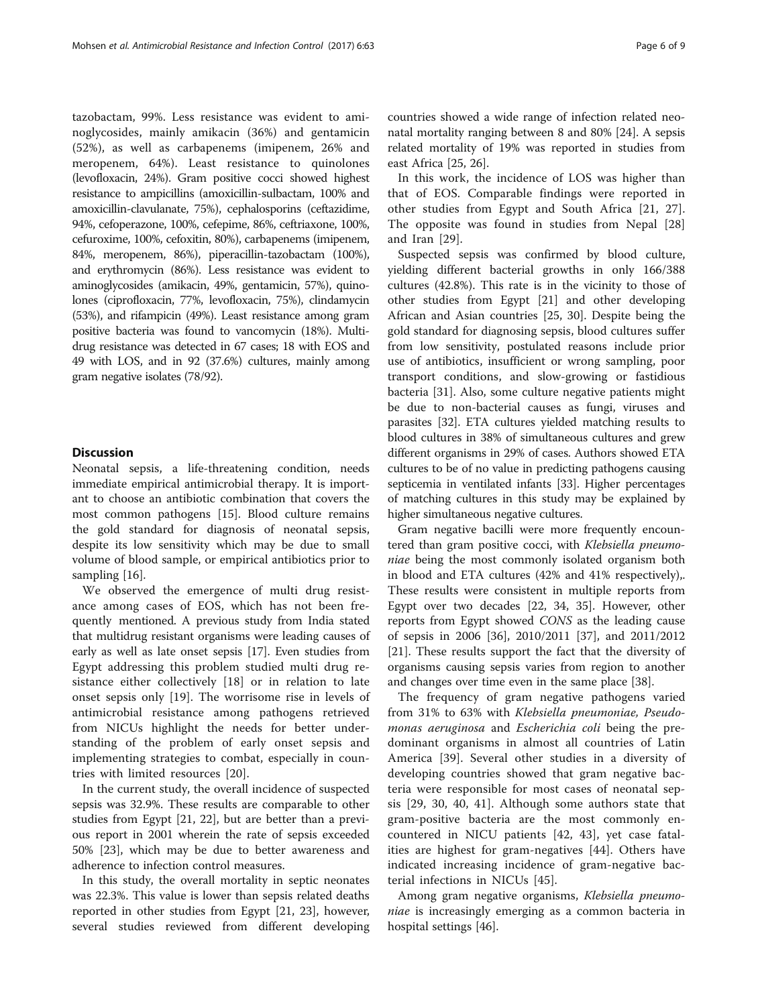tazobactam, 99%. Less resistance was evident to aminoglycosides, mainly amikacin (36%) and gentamicin (52%), as well as carbapenems (imipenem, 26% and meropenem, 64%). Least resistance to quinolones (levofloxacin, 24%). Gram positive cocci showed highest resistance to ampicillins (amoxicillin-sulbactam, 100% and amoxicillin-clavulanate, 75%), cephalosporins (ceftazidime, 94%, cefoperazone, 100%, cefepime, 86%, ceftriaxone, 100%, cefuroxime, 100%, cefoxitin, 80%), carbapenems (imipenem, 84%, meropenem, 86%), piperacillin-tazobactam (100%), and erythromycin (86%). Less resistance was evident to aminoglycosides (amikacin, 49%, gentamicin, 57%), quinolones (ciprofloxacin, 77%, levofloxacin, 75%), clindamycin (53%), and rifampicin (49%). Least resistance among gram positive bacteria was found to vancomycin (18%). Multidrug resistance was detected in 67 cases; 18 with EOS and 49 with LOS, and in 92 (37.6%) cultures, mainly among gram negative isolates (78/92).

### **Discussion**

Neonatal sepsis, a life-threatening condition, needs immediate empirical antimicrobial therapy. It is important to choose an antibiotic combination that covers the most common pathogens [\[15\]](#page-7-0). Blood culture remains the gold standard for diagnosis of neonatal sepsis, despite its low sensitivity which may be due to small volume of blood sample, or empirical antibiotics prior to sampling [[16](#page-7-0)].

We observed the emergence of multi drug resistance among cases of EOS, which has not been frequently mentioned. A previous study from India stated that multidrug resistant organisms were leading causes of early as well as late onset sepsis [\[17](#page-7-0)]. Even studies from Egypt addressing this problem studied multi drug resistance either collectively [[18\]](#page-7-0) or in relation to late onset sepsis only [\[19](#page-7-0)]. The worrisome rise in levels of antimicrobial resistance among pathogens retrieved from NICUs highlight the needs for better understanding of the problem of early onset sepsis and implementing strategies to combat, especially in countries with limited resources [[20\]](#page-7-0).

In the current study, the overall incidence of suspected sepsis was 32.9%. These results are comparable to other studies from Egypt [[21](#page-7-0), [22\]](#page-7-0), but are better than a previous report in 2001 wherein the rate of sepsis exceeded 50% [\[23](#page-7-0)], which may be due to better awareness and adherence to infection control measures.

In this study, the overall mortality in septic neonates was 22.3%. This value is lower than sepsis related deaths reported in other studies from Egypt [[21](#page-7-0), [23](#page-7-0)], however, several studies reviewed from different developing countries showed a wide range of infection related neonatal mortality ranging between 8 and 80% [[24\]](#page-7-0). A sepsis related mortality of 19% was reported in studies from east Africa [[25](#page-7-0), [26](#page-7-0)].

In this work, the incidence of LOS was higher than that of EOS. Comparable findings were reported in other studies from Egypt and South Africa [[21, 27](#page-7-0)]. The opposite was found in studies from Nepal [\[28](#page-7-0)] and Iran [\[29](#page-7-0)].

Suspected sepsis was confirmed by blood culture, yielding different bacterial growths in only 166/388 cultures (42.8%). This rate is in the vicinity to those of other studies from Egypt [[21\]](#page-7-0) and other developing African and Asian countries [[25, 30\]](#page-7-0). Despite being the gold standard for diagnosing sepsis, blood cultures suffer from low sensitivity, postulated reasons include prior use of antibiotics, insufficient or wrong sampling, poor transport conditions, and slow-growing or fastidious bacteria [\[31](#page-7-0)]. Also, some culture negative patients might be due to non-bacterial causes as fungi, viruses and parasites [\[32\]](#page-7-0). ETA cultures yielded matching results to blood cultures in 38% of simultaneous cultures and grew different organisms in 29% of cases. Authors showed ETA cultures to be of no value in predicting pathogens causing septicemia in ventilated infants [[33](#page-7-0)]. Higher percentages of matching cultures in this study may be explained by higher simultaneous negative cultures.

Gram negative bacilli were more frequently encountered than gram positive cocci, with Klebsiella pneumoniae being the most commonly isolated organism both in blood and ETA cultures (42% and 41% respectively),. These results were consistent in multiple reports from Egypt over two decades [[22, 34](#page-7-0), [35\]](#page-7-0). However, other reports from Egypt showed CONS as the leading cause of sepsis in 2006 [[36\]](#page-7-0), 2010/2011 [\[37\]](#page-7-0), and 2011/2012 [[21\]](#page-7-0). These results support the fact that the diversity of organisms causing sepsis varies from region to another and changes over time even in the same place [\[38\]](#page-7-0).

The frequency of gram negative pathogens varied from 31% to 63% with Klebsiella pneumoniae, Pseudomonas aeruginosa and Escherichia coli being the predominant organisms in almost all countries of Latin America [[39\]](#page-7-0). Several other studies in a diversity of developing countries showed that gram negative bacteria were responsible for most cases of neonatal sepsis [[29, 30](#page-7-0), [40](#page-7-0), [41\]](#page-7-0). Although some authors state that gram-positive bacteria are the most commonly encountered in NICU patients [[42, 43\]](#page-7-0), yet case fatalities are highest for gram-negatives [\[44](#page-7-0)]. Others have indicated increasing incidence of gram-negative bacterial infections in NICUs [[45\]](#page-7-0).

Among gram negative organisms, Klebsiella pneumoniae is increasingly emerging as a common bacteria in hospital settings [[46\]](#page-8-0).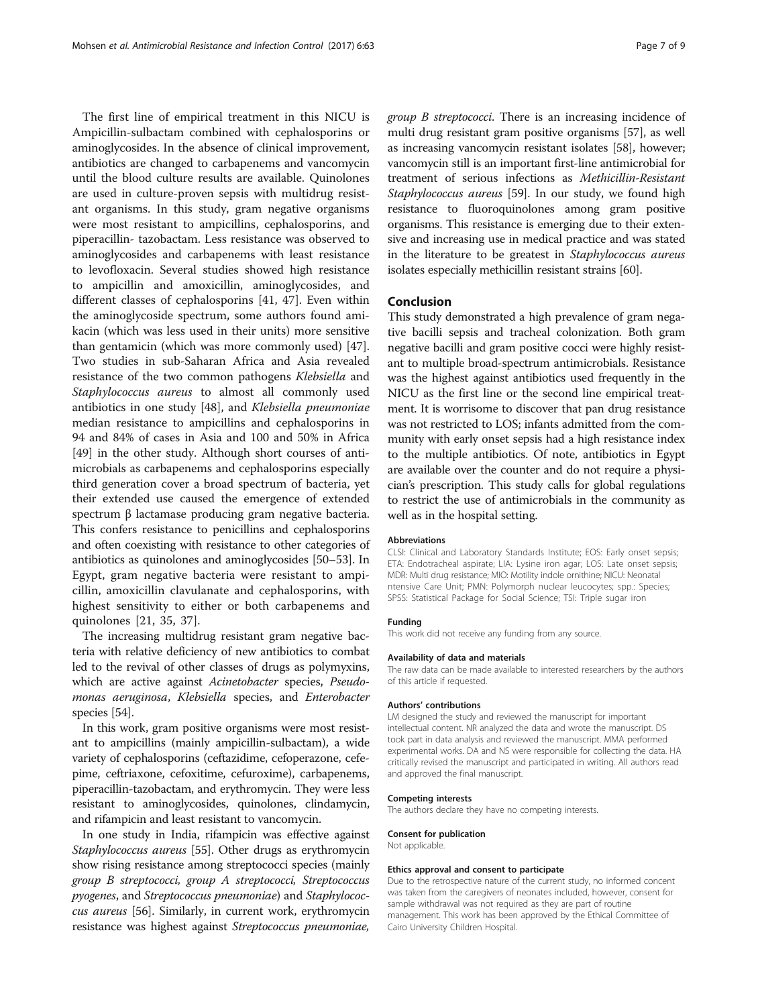The first line of empirical treatment in this NICU is Ampicillin-sulbactam combined with cephalosporins or aminoglycosides. In the absence of clinical improvement, antibiotics are changed to carbapenems and vancomycin until the blood culture results are available. Quinolones are used in culture-proven sepsis with multidrug resistant organisms. In this study, gram negative organisms were most resistant to ampicillins, cephalosporins, and piperacillin- tazobactam. Less resistance was observed to aminoglycosides and carbapenems with least resistance to levofloxacin. Several studies showed high resistance to ampicillin and amoxicillin, aminoglycosides, and different classes of cephalosporins [\[41,](#page-7-0) [47\]](#page-8-0). Even within the aminoglycoside spectrum, some authors found amikacin (which was less used in their units) more sensitive than gentamicin (which was more commonly used) [\[47](#page-8-0)]. Two studies in sub-Saharan Africa and Asia revealed resistance of the two common pathogens Klebsiella and Staphylococcus aureus to almost all commonly used antibiotics in one study [[48\]](#page-8-0), and Klebsiella pneumoniae median resistance to ampicillins and cephalosporins in 94 and 84% of cases in Asia and 100 and 50% in Africa [[49\]](#page-8-0) in the other study. Although short courses of antimicrobials as carbapenems and cephalosporins especially third generation cover a broad spectrum of bacteria, yet their extended use caused the emergence of extended spectrum β lactamase producing gram negative bacteria. This confers resistance to penicillins and cephalosporins and often coexisting with resistance to other categories of antibiotics as quinolones and aminoglycosides [[50](#page-8-0)–[53\]](#page-8-0). In Egypt, gram negative bacteria were resistant to ampicillin, amoxicillin clavulanate and cephalosporins, with highest sensitivity to either or both carbapenems and quinolones [[21, 35, 37\]](#page-7-0).

The increasing multidrug resistant gram negative bacteria with relative deficiency of new antibiotics to combat led to the revival of other classes of drugs as polymyxins, which are active against Acinetobacter species, Pseudomonas aeruginosa, Klebsiella species, and Enterobacter species [\[54](#page-8-0)].

In this work, gram positive organisms were most resistant to ampicillins (mainly ampicillin-sulbactam), a wide variety of cephalosporins (ceftazidime, cefoperazone, cefepime, ceftriaxone, cefoxitime, cefuroxime), carbapenems, piperacillin-tazobactam, and erythromycin. They were less resistant to aminoglycosides, quinolones, clindamycin, and rifampicin and least resistant to vancomycin.

In one study in India, rifampicin was effective against Staphylococcus aureus [\[55\]](#page-8-0). Other drugs as erythromycin show rising resistance among streptococci species (mainly group B streptococci, group A streptococci, Streptococcus pyogenes, and Streptococcus pneumoniae) and Staphylococcus aureus [[56](#page-8-0)]. Similarly, in current work, erythromycin resistance was highest against Streptococcus pneumoniae, group B streptococci. There is an increasing incidence of multi drug resistant gram positive organisms [\[57\]](#page-8-0), as well as increasing vancomycin resistant isolates [\[58](#page-8-0)], however; vancomycin still is an important first-line antimicrobial for treatment of serious infections as Methicillin-Resistant Staphylococcus aureus [[59](#page-8-0)]. In our study, we found high resistance to fluoroquinolones among gram positive organisms. This resistance is emerging due to their extensive and increasing use in medical practice and was stated in the literature to be greatest in Staphylococcus aureus isolates especially methicillin resistant strains [\[60\]](#page-8-0).

#### Conclusion

This study demonstrated a high prevalence of gram negative bacilli sepsis and tracheal colonization. Both gram negative bacilli and gram positive cocci were highly resistant to multiple broad-spectrum antimicrobials. Resistance was the highest against antibiotics used frequently in the NICU as the first line or the second line empirical treatment. It is worrisome to discover that pan drug resistance was not restricted to LOS; infants admitted from the community with early onset sepsis had a high resistance index to the multiple antibiotics. Of note, antibiotics in Egypt are available over the counter and do not require a physician's prescription. This study calls for global regulations to restrict the use of antimicrobials in the community as well as in the hospital setting.

#### Abbreviations

CLSI: Clinical and Laboratory Standards Institute; EOS: Early onset sepsis; ETA: Endotracheal aspirate; LIA: Lysine iron agar; LOS: Late onset sepsis; MDR: Multi drug resistance; MIO: Motility indole ornithine; NICU: Neonatal ntensive Care Unit; PMN: Polymorph nuclear leucocytes; spp.: Species; SPSS: Statistical Package for Social Science; TSI: Triple sugar iron

#### Funding

This work did not receive any funding from any source.

#### Availability of data and materials

The raw data can be made available to interested researchers by the authors of this article if requested.

#### Authors' contributions

LM designed the study and reviewed the manuscript for important intellectual content. NR analyzed the data and wrote the manuscript. DS took part in data analysis and reviewed the manuscript. MMA performed experimental works. DA and NS were responsible for collecting the data. HA critically revised the manuscript and participated in writing. All authors read and approved the final manuscript.

#### Competing interests

The authors declare they have no competing interests.

Consent for publication Not applicable.

#### Ethics approval and consent to participate

Due to the retrospective nature of the current study, no informed concent was taken from the caregivers of neonates included, however, consent for sample withdrawal was not required as they are part of routine management. This work has been approved by the Ethical Committee of Cairo University Children Hospital.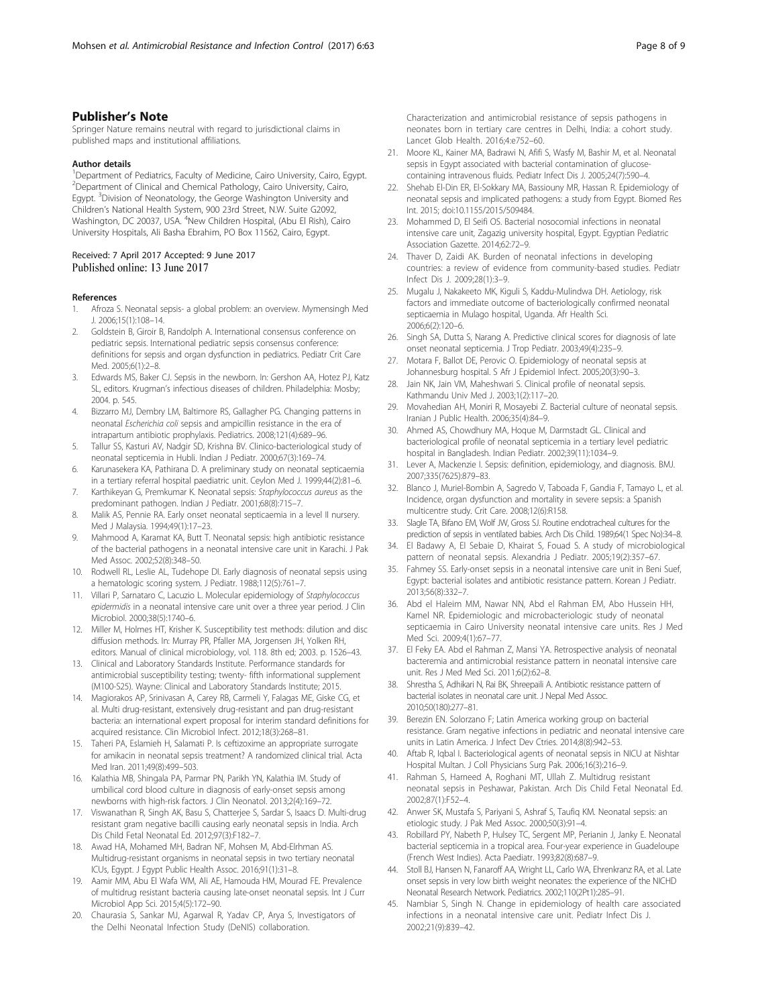### <span id="page-7-0"></span>Publisher's Note

Springer Nature remains neutral with regard to jurisdictional claims in published maps and institutional affiliations.

#### Author details

<sup>1</sup>Department of Pediatrics, Faculty of Medicine, Cairo University, Cairo, Egypt. <sup>2</sup> Department of Clinical and Chemical Pathology, Cairo University, Cairo, Egypt. <sup>3</sup>Division of Neonatology, the George Washington University and Children's National Health System, 900 23rd Street, N.W. Suite G2092, Washington, DC 20037, USA. <sup>4</sup>New Children Hospital, (Abu El Rish), Cairo University Hospitals, Ali Basha Ebrahim, PO Box 11562, Cairo, Egypt.

#### Received: 7 April 2017 Accepted: 9 June 2017 Published online: 13 June 2017

#### References

- 1. Afroza S. Neonatal sepsis- a global problem: an overview. Mymensingh Med J. 2006;15(1):108–14.
- 2. Goldstein B, Giroir B, Randolph A. International consensus conference on pediatric sepsis. International pediatric sepsis consensus conference: definitions for sepsis and organ dysfunction in pediatrics. Pediatr Crit Care Med. 2005;6(1):2–8.
- 3. Edwards MS, Baker CJ. Sepsis in the newborn. In: Gershon AA, Hotez PJ, Katz SL, editors. Krugman's infectious diseases of children. Philadelphia: Mosby; 2004. p. 545.
- 4. Bizzarro MJ, Dembry LM, Baltimore RS, Gallagher PG. Changing patterns in neonatal Escherichia coli sepsis and ampicillin resistance in the era of intrapartum antibiotic prophylaxis. Pediatrics. 2008;121(4):689–96.
- 5. Tallur SS, Kasturi AV, Nadgir SD, Krishna BV. Clinico-bacteriological study of neonatal septicemia in Hubli. Indian J Pediatr. 2000;67(3):169–74.
- 6. Karunasekera KA, Pathirana D. A preliminary study on neonatal septicaemia in a tertiary referral hospital paediatric unit. Ceylon Med J. 1999;44(2):81–6.
- 7. Karthikeyan G, Premkumar K. Neonatal sepsis: Staphylococcus aureus as the predominant pathogen. Indian J Pediatr. 2001;68(8):715–7.
- 8. Malik AS, Pennie RA. Early onset neonatal septicaemia in a level II nursery. Med J Malaysia. 1994;49(1):17–23.
- 9. Mahmood A, Karamat KA, Butt T. Neonatal sepsis: high antibiotic resistance of the bacterial pathogens in a neonatal intensive care unit in Karachi. J Pak Med Assoc. 2002;52(8):348–50.
- 10. Rodwell RL, Leslie AL, Tudehope DI. Early diagnosis of neonatal sepsis using a hematologic scoring system. J Pediatr. 1988;112(5):761–7.
- 11. Villari P, Sarnataro C, Lacuzio L. Molecular epidemiology of Staphylococcus epidermidis in a neonatal intensive care unit over a three year period. J Clin Microbiol. 2000;38(5):1740–6.
- 12. Miller M, Holmes HT, Krisher K. Susceptibility test methods: dilution and disc diffusion methods. In: Murray PR, Pfaller MA, Jorgensen JH, Yolken RH, editors. Manual of clinical microbiology, vol. 118. 8th ed; 2003. p. 1526–43.
- 13. Clinical and Laboratory Standards Institute. Performance standards for antimicrobial susceptibility testing; twenty- fifth informational supplement (M100-S25). Wayne: Clinical and Laboratory Standards Institute; 2015.
- 14. Magiorakos AP, Srinivasan A, Carey RB, Carmeli Y, Falagas ME, Giske CG, et al. Multi drug-resistant, extensively drug-resistant and pan drug-resistant bacteria: an international expert proposal for interim standard definitions for acquired resistance. Clin Microbiol Infect. 2012;18(3):268–81.
- 15. Taheri PA, Eslamieh H, Salamati P. Is ceftizoxime an appropriate surrogate for amikacin in neonatal sepsis treatment? A randomized clinical trial. Acta Med Iran. 2011;49(8):499–503.
- 16. Kalathia MB, Shingala PA, Parmar PN, Parikh YN, Kalathia IM. Study of umbilical cord blood culture in diagnosis of early-onset sepsis among newborns with high-risk factors. J Clin Neonatol. 2013;2(4):169–72.
- 17. Viswanathan R, Singh AK, Basu S, Chatterjee S, Sardar S, Isaacs D. Multi-drug resistant gram negative bacilli causing early neonatal sepsis in India. Arch Dis Child Fetal Neonatal Ed. 2012;97(3):F182–7.
- 18. Awad HA, Mohamed MH, Badran NF, Mohsen M, Abd-Elrhman AS. Multidrug-resistant organisms in neonatal sepsis in two tertiary neonatal ICUs, Egypt. J Egypt Public Health Assoc. 2016;91(1):31–8.
- 19. Aamir MM, Abu El Wafa WM, Ali AE, Hamouda HM, Mourad FE. Prevalence of multidrug resistant bacteria causing late-onset neonatal sepsis. Int J Curr Microbiol App Sci. 2015;4(5):172–90.
- 20. Chaurasia S, Sankar MJ, Agarwal R, Yadav CP, Arya S, Investigators of the Delhi Neonatal Infection Study (DeNIS) collaboration.

Characterization and antimicrobial resistance of sepsis pathogens in neonates born in tertiary care centres in Delhi, India: a cohort study. Lancet Glob Health. 2016;4:e752–60.

- 21. Moore KL, Kainer MA, Badrawi N, Afifi S, Wasfy M, Bashir M, et al. Neonatal sepsis in Egypt associated with bacterial contamination of glucosecontaining intravenous fluids. Pediatr Infect Dis J. 2005;24(7):590–4.
- 22. Shehab El-Din ER, El-Sokkary MA, Bassiouny MR, Hassan R. Epidemiology of neonatal sepsis and implicated pathogens: a study from Egypt. Biomed Res Int. 2015; doi:[10.1155/2015/509484](http://dx.doi.org/10.1155/2015/509484).
- 23. Mohammed D, El Seifi OS. Bacterial nosocomial infections in neonatal intensive care unit, Zagazig university hospital, Egypt. Egyptian Pediatric Association Gazette. 2014;62:72–9.
- 24. Thaver D, Zaidi AK. Burden of neonatal infections in developing countries: a review of evidence from community-based studies. Pediatr Infect Dis J. 2009;28(1):3–9.
- 25. Mugalu J, Nakakeeto MK, Kiguli S, Kaddu-Mulindwa DH. Aetiology, risk factors and immediate outcome of bacteriologically confirmed neonatal septicaemia in Mulago hospital, Uganda. Afr Health Sci. 2006;6(2):120–6.
- 26. Singh SA, Dutta S, Narang A. Predictive clinical scores for diagnosis of late onset neonatal septicemia. J Trop Pediatr. 2003;49(4):235–9.
- 27. Motara F, Ballot DE, Perovic O. Epidemiology of neonatal sepsis at Johannesburg hospital. S Afr J Epidemiol Infect. 2005;20(3):90–3.
- 28. Jain NK, Jain VM, Maheshwari S. Clinical profile of neonatal sepsis. Kathmandu Univ Med J. 2003;1(2):117–20.
- 29. Movahedian AH, Moniri R, Mosayebi Z. Bacterial culture of neonatal sepsis. Iranian J Public Health. 2006;35(4):84–9.
- 30. Ahmed AS, Chowdhury MA, Hoque M, Darmstadt GL. Clinical and bacteriological profile of neonatal septicemia in a tertiary level pediatric hospital in Bangladesh. Indian Pediatr. 2002;39(11):1034–9.
- 31. Lever A, Mackenzie I. Sepsis: definition, epidemiology, and diagnosis. BMJ. 2007;335(7625):879–83.
- 32. Blanco J, Muriel-Bombin A, Sagredo V, Taboada F, Gandia F, Tamayo L, et al. Incidence, organ dysfunction and mortality in severe sepsis: a Spanish multicentre study. Crit Care. 2008;12(6):R158.
- 33. Slagle TA, Bifano EM, Wolf JW, Gross SJ. Routine endotracheal cultures for the prediction of sepsis in ventilated babies. Arch Dis Child. 1989;64(1 Spec No):34–8.
- 34. El Badawy A, El Sebaie D, Khairat S, Fouad S. A study of microbiological pattern of neonatal sepsis. Alexandria J Pediatr. 2005;19(2):357–67.
- 35. Fahmey SS. Early-onset sepsis in a neonatal intensive care unit in Beni Suef, Egypt: bacterial isolates and antibiotic resistance pattern. Korean J Pediatr. 2013;56(8):332–7.
- 36. Abd el Haleim MM, Nawar NN, Abd el Rahman EM, Abo Hussein HH, Kamel NR. Epidemiologic and microbacteriologic study of neonatal septicaemia in Cairo University neonatal intensive care units. Res J Med Med Sci. 2009;4(1):67–77.
- 37. El Feky EA. Abd el Rahman Z, Mansi YA. Retrospective analysis of neonatal bacteremia and antimicrobial resistance pattern in neonatal intensive care unit. Res J Med Med Sci. 2011;6(2):62–8.
- 38. Shrestha S, Adhikari N, Rai BK, Shreepaili A. Antibiotic resistance pattern of bacterial isolates in neonatal care unit. J Nepal Med Assoc. 2010;50(180):277–81.
- 39. Berezin EN. Solorzano F; Latin America working group on bacterial resistance. Gram negative infections in pediatric and neonatal intensive care units in Latin America. J Infect Dev Ctries. 2014;8(8):942–53.
- 40. Aftab R, Iqbal I. Bacteriological agents of neonatal sepsis in NICU at Nishtar Hospital Multan. J Coll Physicians Surg Pak. 2006;16(3):216–9.
- 41. Rahman S, Hameed A, Roghani MT, Ullah Z. Multidrug resistant neonatal sepsis in Peshawar, Pakistan. Arch Dis Child Fetal Neonatal Ed. 2002;87(1):F52–4.
- 42. Anwer SK, Mustafa S, Pariyani S, Ashraf S, Taufiq KM. Neonatal sepsis: an etiologic study. J Pak Med Assoc. 2000;50(3):91–4.
- 43. Robillard PY, Nabeth P, Hulsey TC, Sergent MP, Perianin J, Janky E. Neonatal bacterial septicemia in a tropical area. Four-year experience in Guadeloupe (French West Indies). Acta Paediatr. 1993;82(8):687–9.
- 44. Stoll BJ, Hansen N, Fanaroff AA, Wright LL, Carlo WA, Ehrenkranz RA, et al. Late onset sepsis in very low birth weight neonates: the experience of the NICHD Neonatal Research Network. Pediatrics. 2002;110(2Pt1):285–91.
- 45. Nambiar S, Singh N. Change in epidemiology of health care associated infections in a neonatal intensive care unit. Pediatr Infect Dis J. 2002;21(9):839–42.